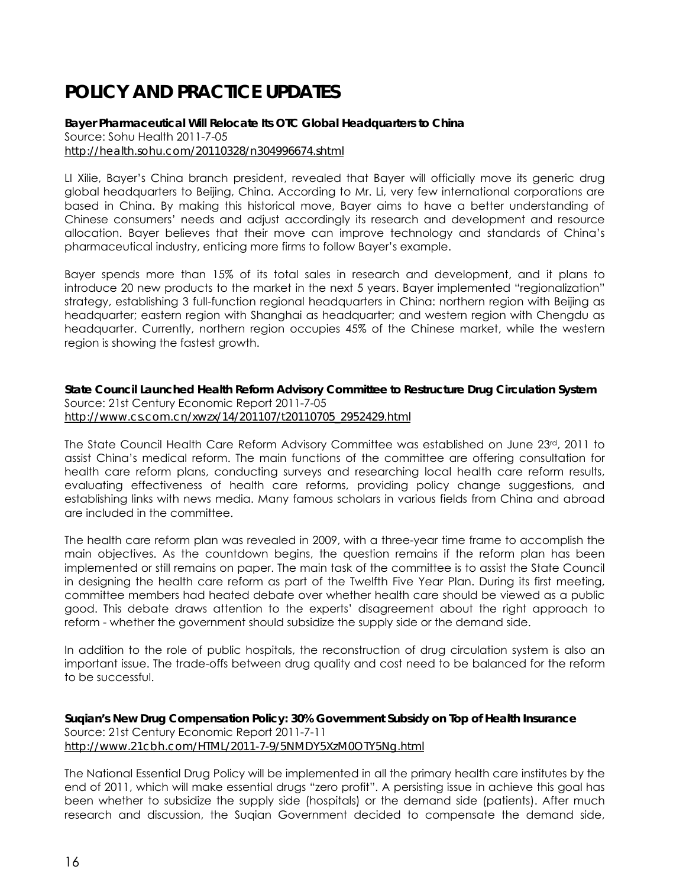## **POLICY AND PRACTICE UPDATES**

**Bayer Pharmaceutical Will Relocate Its OTC Global Headquarters to China**  Source: Sohu Health 2011-7-05 *http://health.sohu.com/20110328/n304996674.shtml* 

LI Xilie, Bayer's China branch president, revealed that Bayer will officially move its generic drug global headquarters to Beijing, China. According to Mr. Li, very few international corporations are based in China. By making this historical move, Bayer aims to have a better understanding of Chinese consumers' needs and adjust accordingly its research and development and resource allocation. Bayer believes that their move can improve technology and standards of China's pharmaceutical industry, enticing more firms to follow Bayer's example.

Bayer spends more than 15% of its total sales in research and development, and it plans to introduce 20 new products to the market in the next 5 years. Bayer implemented "regionalization" strategy, establishing 3 full-function regional headquarters in China: northern region with Beijing as headquarter; eastern region with Shanghai as headquarter; and western region with Chengdu as headquarter. Currently, northern region occupies 45% of the Chinese market, while the western region is showing the fastest growth.

**State Council Launched Health Reform Advisory Committee to Restructure Drug Circulation System**  Source: 21st Century Economic Report 2011-7-05 *http://www.cs.com.cn/xwzx/14/201107/t20110705\_2952429.html* 

The State Council Health Care Reform Advisory Committee was established on June 23rd, 2011 to assist China's medical reform. The main functions of the committee are offering consultation for health care reform plans, conducting surveys and researching local health care reform results, evaluating effectiveness of health care reforms, providing policy change suggestions, and establishing links with news media. Many famous scholars in various fields from China and abroad are included in the committee.

The health care reform plan was revealed in 2009, with a three-year time frame to accomplish the main objectives. As the countdown begins, the question remains if the reform plan has been implemented or still remains on paper. The main task of the committee is to assist the State Council in designing the health care reform as part of the Twelfth Five Year Plan. During its first meeting, committee members had heated debate over whether health care should be viewed as a public good. This debate draws attention to the experts' disagreement about the right approach to reform - whether the government should subsidize the supply side or the demand side.

In addition to the role of public hospitals, the reconstruction of drug circulation system is also an important issue. The trade-offs between drug quality and cost need to be balanced for the reform to be successful.

**Suqian's New Drug Compensation Policy: 30% Government Subsidy on Top of Health Insurance**  Source: 21st Century Economic Report 2011-7-11 *http://www.21cbh.com/HTML/2011-7-9/5NMDY5XzM0OTY5Ng.html* 

The National Essential Drug Policy will be implemented in all the primary health care institutes by the end of 2011, which will make essential drugs "zero profit". A persisting issue in achieve this goal has been whether to subsidize the supply side (hospitals) or the demand side (patients). After much research and discussion, the Suqian Government decided to compensate the demand side,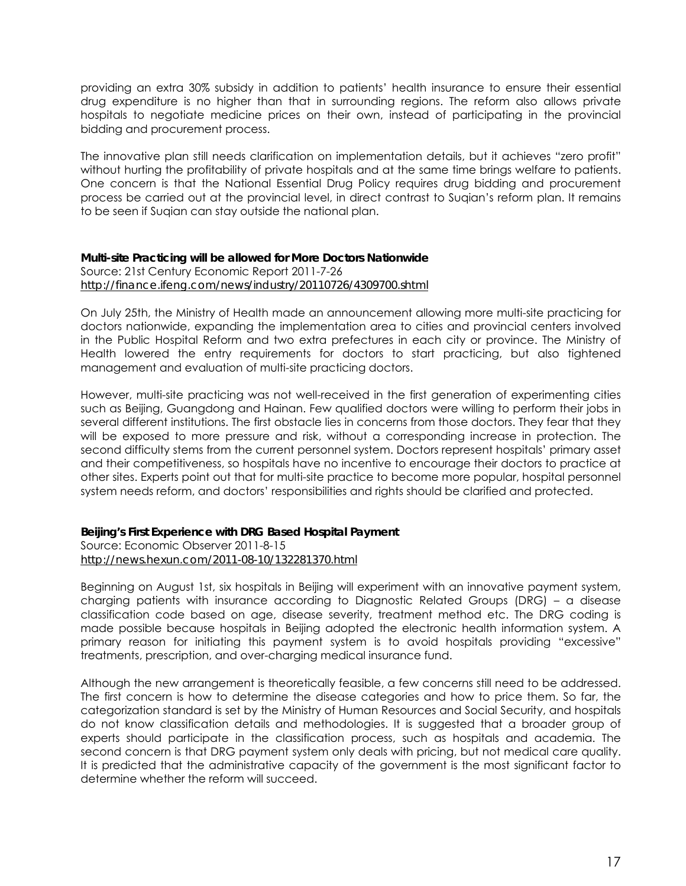providing an extra 30% subsidy in addition to patients' health insurance to ensure their essential drug expenditure is no higher than that in surrounding regions. The reform also allows private hospitals to negotiate medicine prices on their own, instead of participating in the provincial bidding and procurement process.

The innovative plan still needs clarification on implementation details, but it achieves "zero profit" without hurting the profitability of private hospitals and at the same time brings welfare to patients. One concern is that the National Essential Drug Policy requires drug bidding and procurement process be carried out at the provincial level, in direct contrast to Suqian's reform plan. It remains to be seen if Suqian can stay outside the national plan.

## **Multi-site Practicing will be allowed for More Doctors Nationwide**

Source: 21st Century Economic Report 2011-7-26 *http://finance.ifeng.com/news/industry/20110726/4309700.shtml* 

On July 25th, the Ministry of Health made an announcement allowing more multi-site practicing for doctors nationwide, expanding the implementation area to cities and provincial centers involved in the Public Hospital Reform and two extra prefectures in each city or province. The Ministry of Health lowered the entry requirements for doctors to start practicing, but also tightened management and evaluation of multi-site practicing doctors.

However, multi-site practicing was not well-received in the first generation of experimenting cities such as Beijing, Guangdong and Hainan. Few qualified doctors were willing to perform their jobs in several different institutions. The first obstacle lies in concerns from those doctors. They fear that they will be exposed to more pressure and risk, without a corresponding increase in protection. The second difficulty stems from the current personnel system. Doctors represent hospitals' primary asset and their competitiveness, so hospitals have no incentive to encourage their doctors to practice at other sites. Experts point out that for multi-site practice to become more popular, hospital personnel system needs reform, and doctors' responsibilities and rights should be clarified and protected.

## **Beijing's First Experience with DRG Based Hospital Payment**

Source: Economic Observer 2011-8-15 *http://news.hexun.com/2011-08-10/132281370.html* 

Beginning on August 1st, six hospitals in Beijing will experiment with an innovative payment system, charging patients with insurance according to Diagnostic Related Groups (DRG) – a disease classification code based on age, disease severity, treatment method etc. The DRG coding is made possible because hospitals in Beijing adopted the electronic health information system. A primary reason for initiating this payment system is to avoid hospitals providing "excessive" treatments, prescription, and over-charging medical insurance fund.

Although the new arrangement is theoretically feasible, a few concerns still need to be addressed. The first concern is how to determine the disease categories and how to price them. So far, the categorization standard is set by the Ministry of Human Resources and Social Security, and hospitals do not know classification details and methodologies. It is suggested that a broader group of experts should participate in the classification process, such as hospitals and academia. The second concern is that DRG payment system only deals with pricing, but not medical care quality. It is predicted that the administrative capacity of the government is the most significant factor to determine whether the reform will succeed.